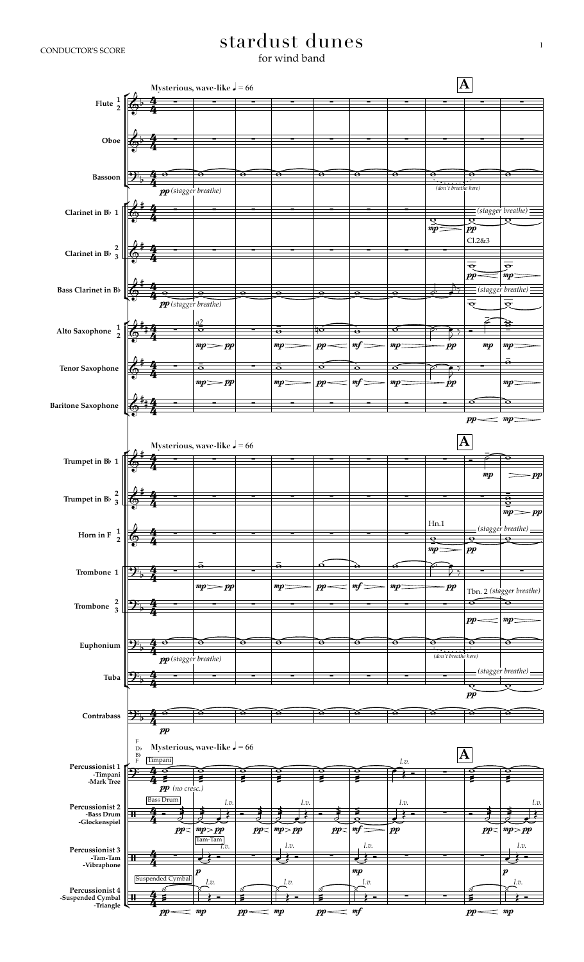CONDUCTOR'S SCORE

## stardust dunes  $\frac{1}{2}$  for wind band

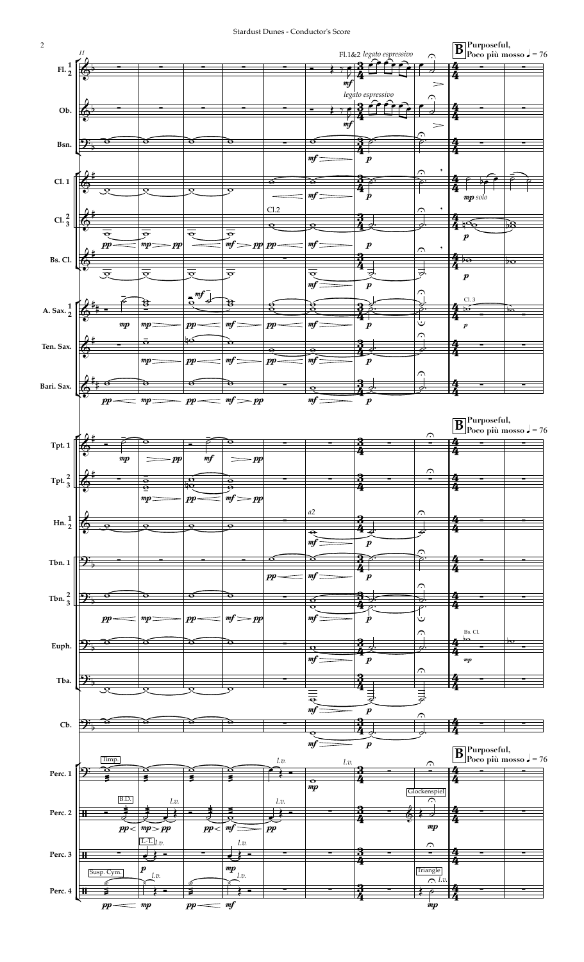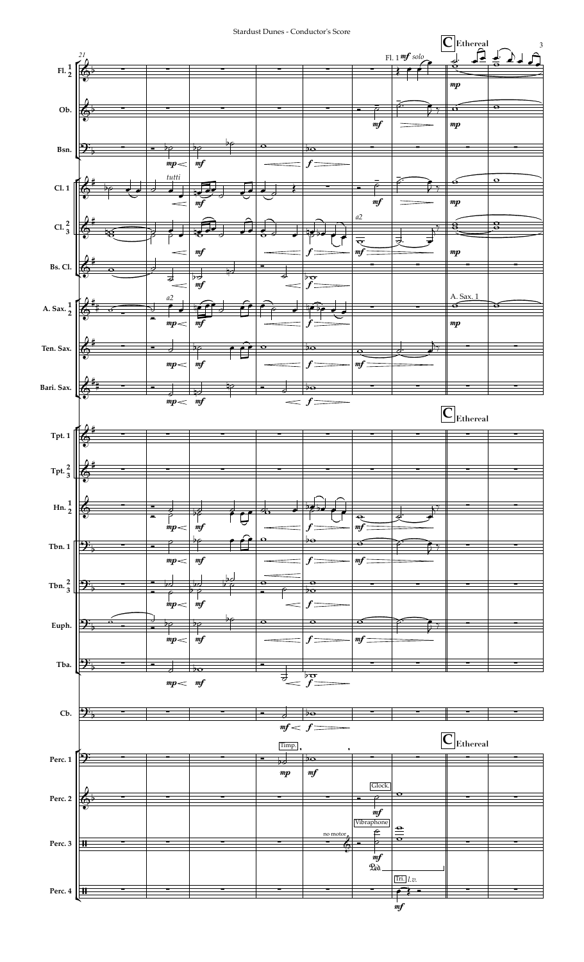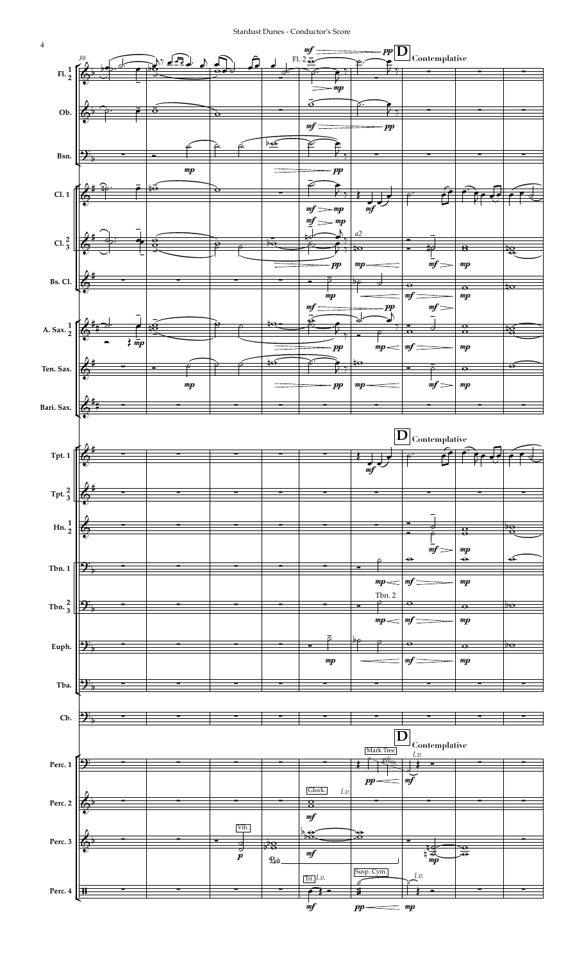Stardust Dunes - Conductor's Score



4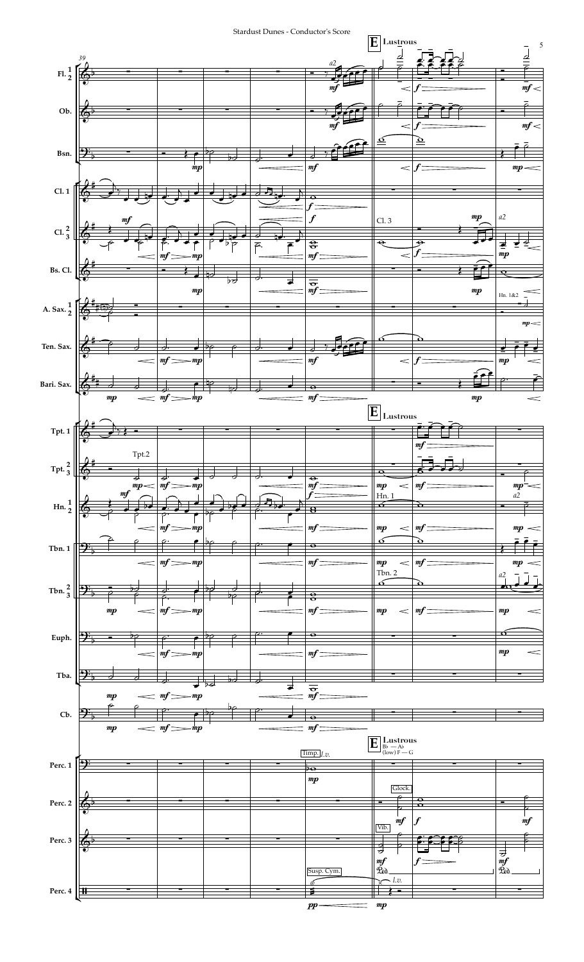Stardust Dunes - Conductor's Score

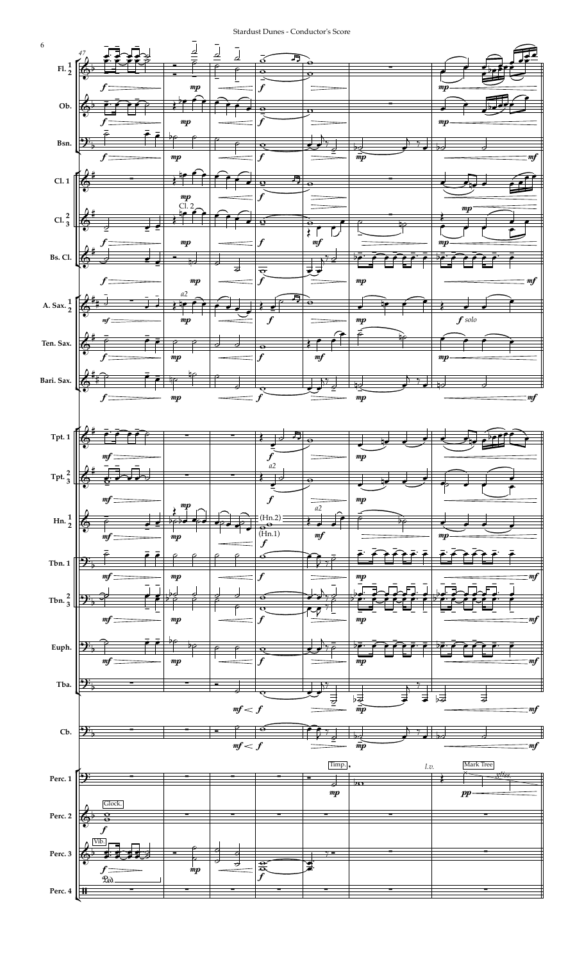

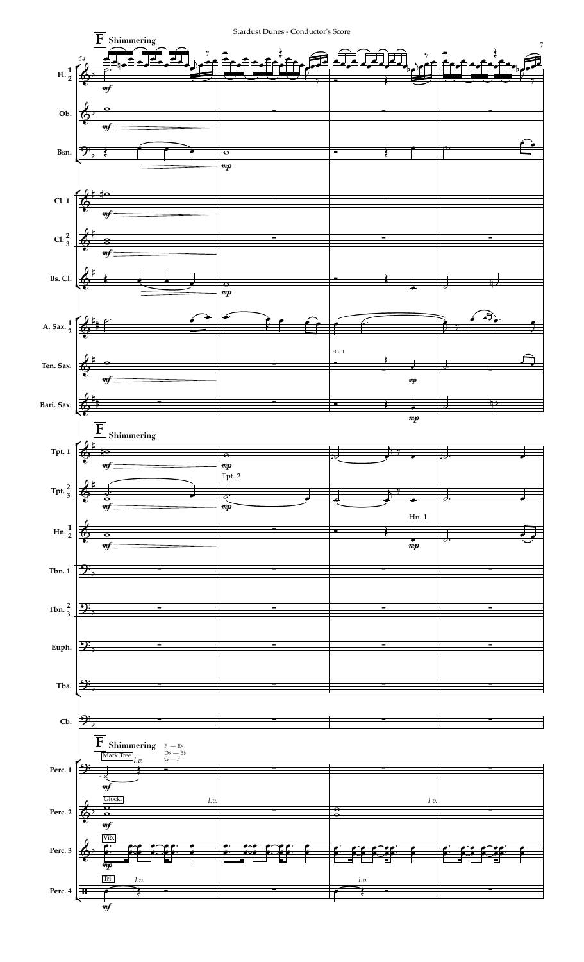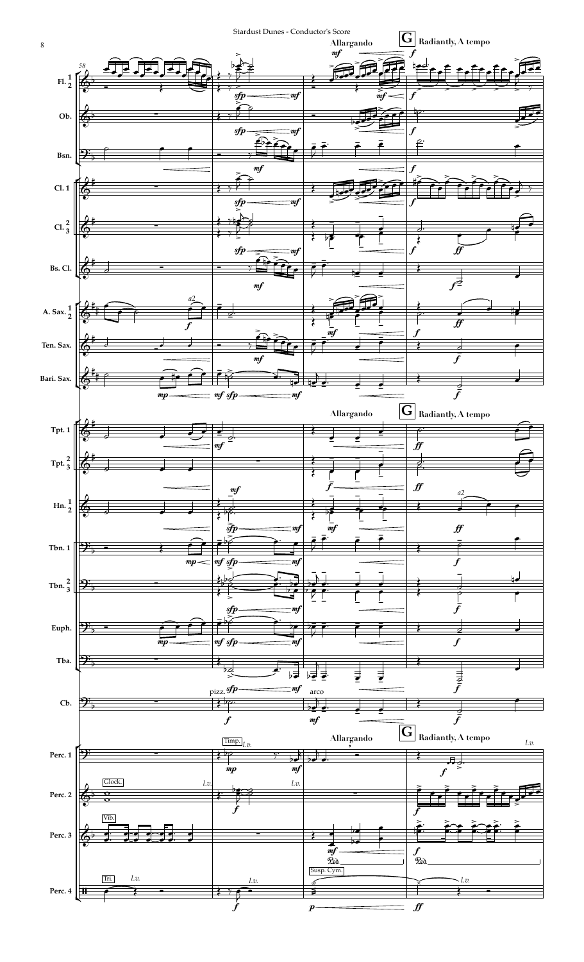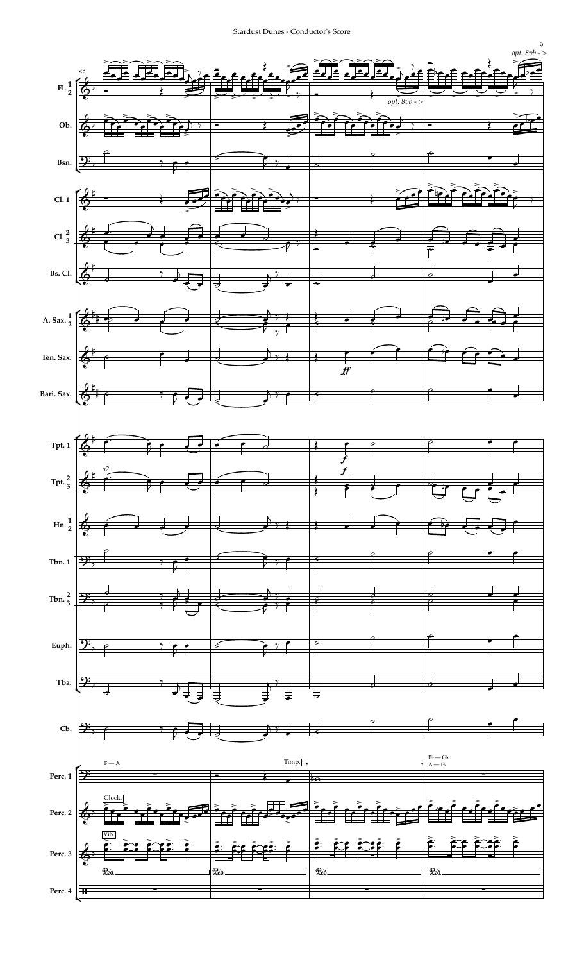Stardust Dunes - Conductor's Score

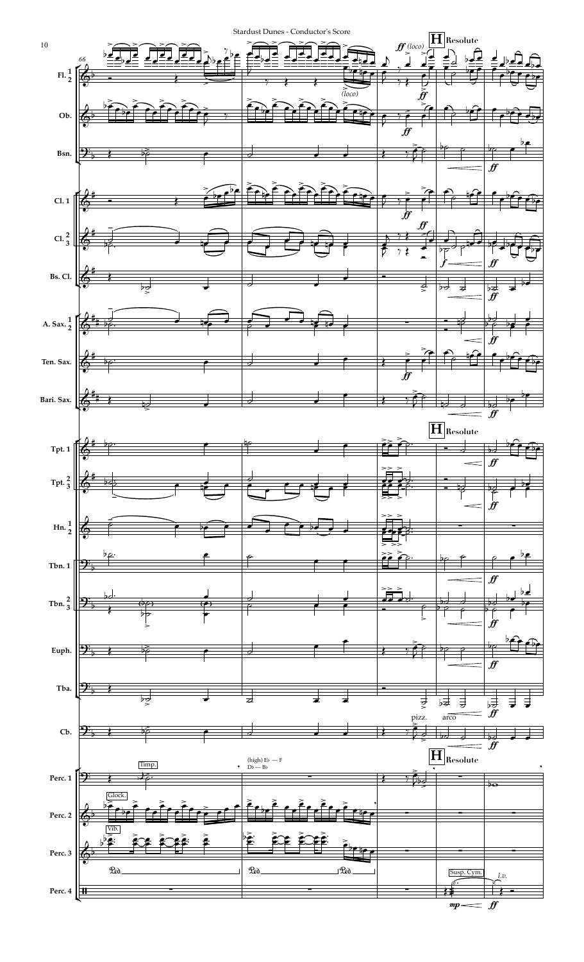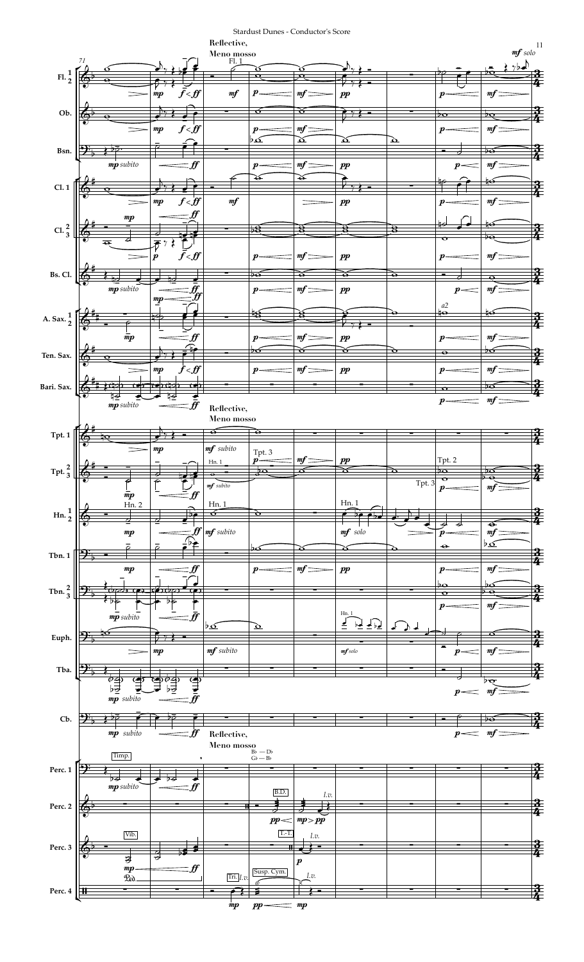

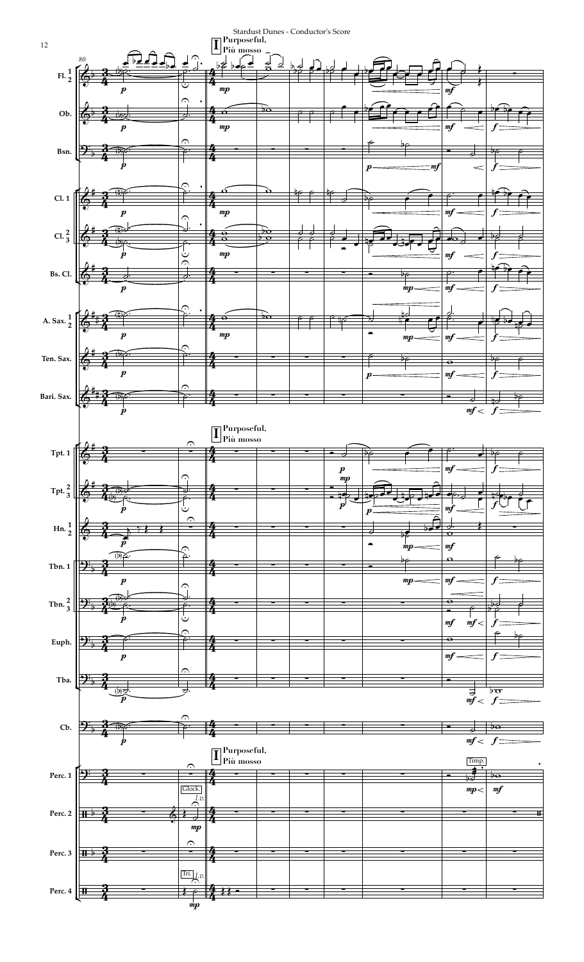Stardust Dunes - Conductor's Score

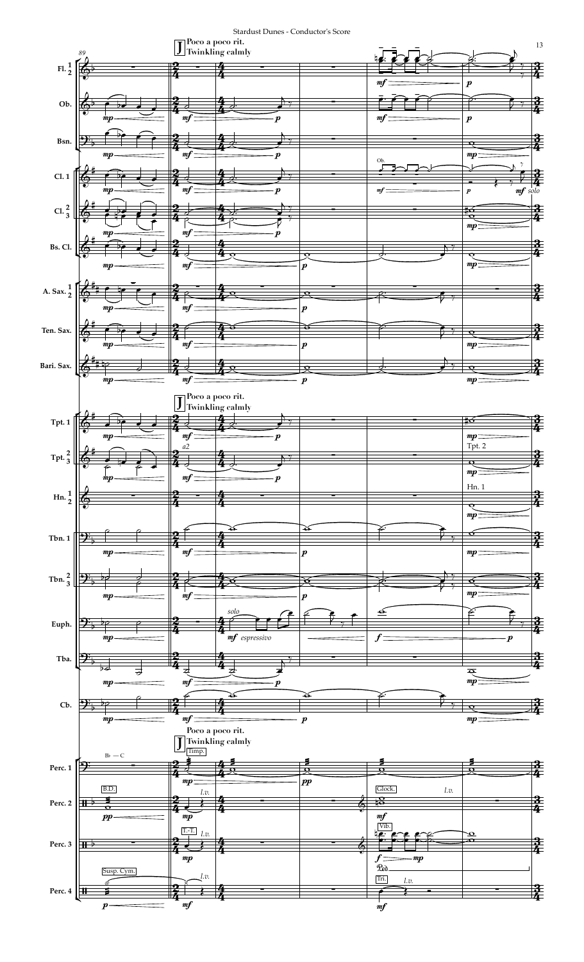